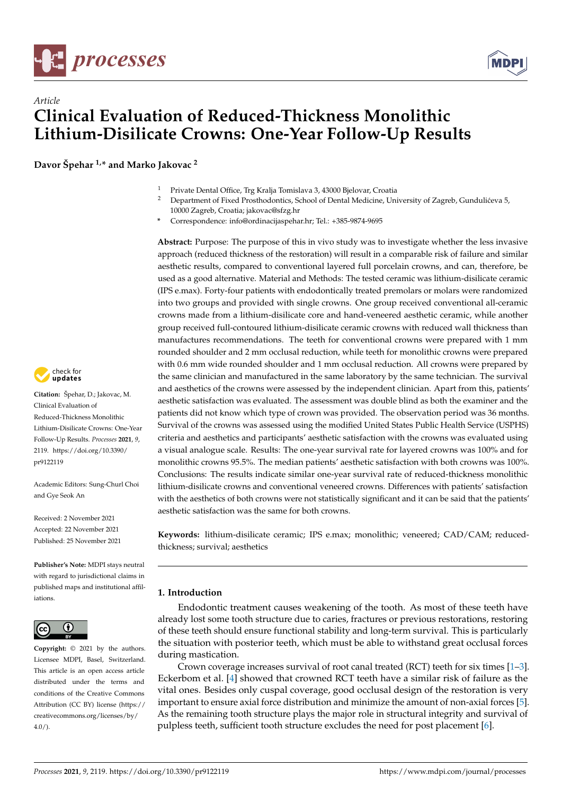



# *Article* **Clinical Evaluation of Reduced-Thickness Monolithic Lithium-Disilicate Crowns: One-Year Follow-Up Results**

**Davor Špehar 1,\* and Marko Jakovac <sup>2</sup>**

- <sup>1</sup> Private Dental Office, Trg Kralja Tomislava 3, 43000 Bjelovar, Croatia
- Department of Fixed Prosthodontics, School of Dental Medicine, University of Zagreb, Gundulićeva 5, 10000 Zagreb, Croatia; jakovac@sfzg.hr
- **\*** Correspondence: info@ordinacijaspehar.hr; Tel.: +385-9874-9695

**Abstract:** Purpose: The purpose of this in vivo study was to investigate whether the less invasive approach (reduced thickness of the restoration) will result in a comparable risk of failure and similar aesthetic results, compared to conventional layered full porcelain crowns, and can, therefore, be used as a good alternative. Material and Methods: The tested ceramic was lithium-disilicate ceramic (IPS e.max). Forty-four patients with endodontically treated premolars or molars were randomized into two groups and provided with single crowns. One group received conventional all-ceramic crowns made from a lithium-disilicate core and hand-veneered aesthetic ceramic, while another group received full-contoured lithium-disilicate ceramic crowns with reduced wall thickness than manufactures recommendations. The teeth for conventional crowns were prepared with 1 mm rounded shoulder and 2 mm occlusal reduction, while teeth for monolithic crowns were prepared with 0.6 mm wide rounded shoulder and 1 mm occlusal reduction. All crowns were prepared by the same clinician and manufactured in the same laboratory by the same technician. The survival and aesthetics of the crowns were assessed by the independent clinician. Apart from this, patients' aesthetic satisfaction was evaluated. The assessment was double blind as both the examiner and the patients did not know which type of crown was provided. The observation period was 36 months. Survival of the crowns was assessed using the modified United States Public Health Service (USPHS) criteria and aesthetics and participants' aesthetic satisfaction with the crowns was evaluated using a visual analogue scale. Results: The one-year survival rate for layered crowns was 100% and for monolithic crowns 95.5%. The median patients' aesthetic satisfaction with both crowns was 100%. Conclusions: The results indicate similar one-year survival rate of reduced-thickness monolithic lithium-disilicate crowns and conventional veneered crowns. Differences with patients' satisfaction with the aesthetics of both crowns were not statistically significant and it can be said that the patients' aesthetic satisfaction was the same for both crowns.

**Keywords:** lithium-disilicate ceramic; IPS e.max; monolithic; veneered; CAD/CAM; reducedthickness; survival; aesthetics

# **1. Introduction**

Endodontic treatment causes weakening of the tooth. As most of these teeth have already lost some tooth structure due to caries, fractures or previous restorations, restoring of these teeth should ensure functional stability and long-term survival. This is particularly the situation with posterior teeth, which must be able to withstand great occlusal forces during mastication.

Crown coverage increases survival of root canal treated (RCT) teeth for six times [\[1](#page-9-0)[–3\]](#page-9-1). Eckerbom et al. [\[4\]](#page-9-2) showed that crowned RCT teeth have a similar risk of failure as the vital ones. Besides only cuspal coverage, good occlusal design of the restoration is very important to ensure axial force distribution and minimize the amount of non-axial forces [\[5\]](#page-9-3). As the remaining tooth structure plays the major role in structural integrity and survival of pulpless teeth, sufficient tooth structure excludes the need for post placement [\[6\]](#page-9-4).



**Citation:** Špehar, D.; Jakovac, M. Clinical Evaluation of Reduced-Thickness Monolithic Lithium-Disilicate Crowns: One-Year Follow-Up Results. *Processes* **2021**, *9*, 2119. [https://doi.org/10.3390/](https://doi.org/10.3390/pr9122119) [pr9122119](https://doi.org/10.3390/pr9122119)

Academic Editors: Sung-Churl Choi and Gye Seok An

Received: 2 November 2021 Accepted: 22 November 2021 Published: 25 November 2021

**Publisher's Note:** MDPI stays neutral with regard to jurisdictional claims in published maps and institutional affiliations.



**Copyright:** © 2021 by the authors. Licensee MDPI, Basel, Switzerland. This article is an open access article distributed under the terms and conditions of the Creative Commons Attribution (CC BY) license (https:/[/](https://creativecommons.org/licenses/by/4.0/) [creativecommons.org/licenses/by/](https://creativecommons.org/licenses/by/4.0/)  $4.0/$ ).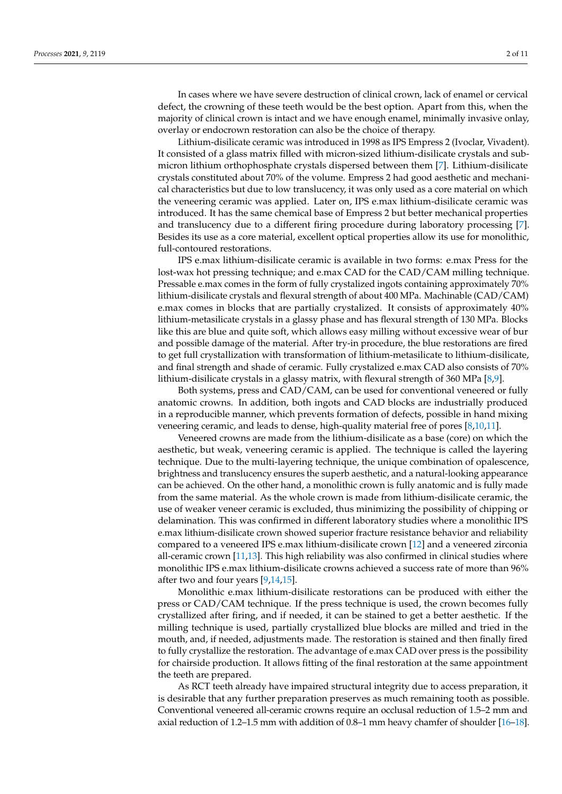In cases where we have severe destruction of clinical crown, lack of enamel or cervical defect, the crowning of these teeth would be the best option. Apart from this, when the majority of clinical crown is intact and we have enough enamel, minimally invasive onlay, overlay or endocrown restoration can also be the choice of therapy.

Lithium-disilicate ceramic was introduced in 1998 as IPS Empress 2 (Ivoclar, Vivadent). It consisted of a glass matrix filled with micron-sized lithium-disilicate crystals and submicron lithium orthophosphate crystals dispersed between them [\[7\]](#page-9-5). Lithium-disilicate crystals constituted about 70% of the volume. Empress 2 had good aesthetic and mechanical characteristics but due to low translucency, it was only used as a core material on which the veneering ceramic was applied. Later on, IPS e.max lithium-disilicate ceramic was introduced. It has the same chemical base of Empress 2 but better mechanical properties and translucency due to a different firing procedure during laboratory processing [\[7\]](#page-9-5). Besides its use as a core material, excellent optical properties allow its use for monolithic, full-contoured restorations.

IPS e.max lithium-disilicate ceramic is available in two forms: e.max Press for the lost-wax hot pressing technique; and e.max CAD for the CAD/CAM milling technique. Pressable e.max comes in the form of fully crystalized ingots containing approximately 70% lithium-disilicate crystals and flexural strength of about 400 MPa. Machinable (CAD/CAM) e.max comes in blocks that are partially crystalized. It consists of approximately 40% lithium-metasilicate crystals in a glassy phase and has flexural strength of 130 MPa. Blocks like this are blue and quite soft, which allows easy milling without excessive wear of bur and possible damage of the material. After try-in procedure, the blue restorations are fired to get full crystallization with transformation of lithium-metasilicate to lithium-disilicate, and final strength and shade of ceramic. Fully crystalized e.max CAD also consists of 70% lithium-disilicate crystals in a glassy matrix, with flexural strength of 360 MPa [\[8](#page-9-6)[,9\]](#page-9-7).

Both systems, press and CAD/CAM, can be used for conventional veneered or fully anatomic crowns. In addition, both ingots and CAD blocks are industrially produced in a reproducible manner, which prevents formation of defects, possible in hand mixing veneering ceramic, and leads to dense, high-quality material free of pores [\[8,](#page-9-6)[10](#page-10-0)[,11\]](#page-10-1).

Veneered crowns are made from the lithium-disilicate as a base (core) on which the aesthetic, but weak, veneering ceramic is applied. The technique is called the layering technique. Due to the multi-layering technique, the unique combination of opalescence, brightness and translucency ensures the superb aesthetic, and a natural-looking appearance can be achieved. On the other hand, a monolithic crown is fully anatomic and is fully made from the same material. As the whole crown is made from lithium-disilicate ceramic, the use of weaker veneer ceramic is excluded, thus minimizing the possibility of chipping or delamination. This was confirmed in different laboratory studies where a monolithic IPS e.max lithium-disilicate crown showed superior fracture resistance behavior and reliability compared to a veneered IPS e.max lithium-disilicate crown [\[12\]](#page-10-2) and a veneered zirconia all-ceramic crown [\[11,](#page-10-1)[13\]](#page-10-3). This high reliability was also confirmed in clinical studies where monolithic IPS e.max lithium-disilicate crowns achieved a success rate of more than 96% after two and four years [\[9,](#page-9-7)[14](#page-10-4)[,15\]](#page-10-5).

Monolithic e.max lithium-disilicate restorations can be produced with either the press or CAD/CAM technique. If the press technique is used, the crown becomes fully crystallized after firing, and if needed, it can be stained to get a better aesthetic. If the milling technique is used, partially crystallized blue blocks are milled and tried in the mouth, and, if needed, adjustments made. The restoration is stained and then finally fired to fully crystallize the restoration. The advantage of e.max CAD over press is the possibility for chairside production. It allows fitting of the final restoration at the same appointment the teeth are prepared.

As RCT teeth already have impaired structural integrity due to access preparation, it is desirable that any further preparation preserves as much remaining tooth as possible. Conventional veneered all-ceramic crowns require an occlusal reduction of 1.5–2 mm and axial reduction of 1.2–1.5 mm with addition of 0.8–1 mm heavy chamfer of shoulder [\[16–](#page-10-6)[18\]](#page-10-7).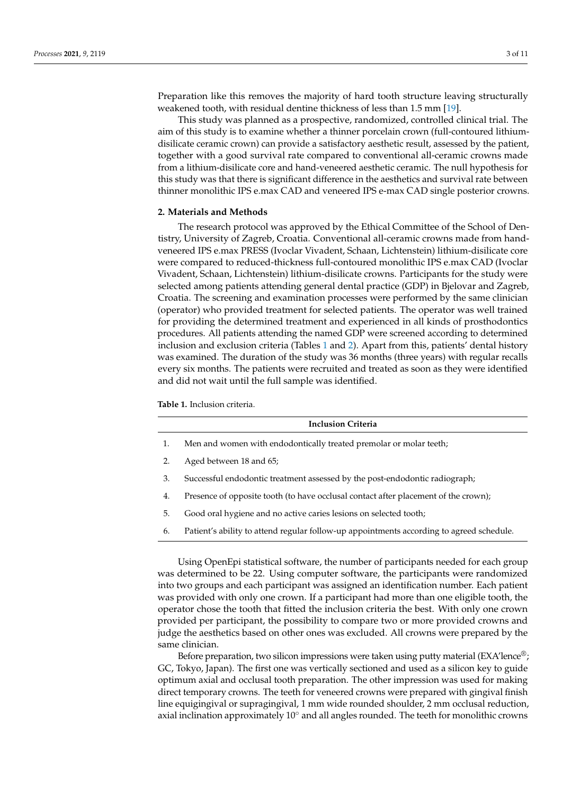Preparation like this removes the majority of hard tooth structure leaving structurally weakened tooth, with residual dentine thickness of less than 1.5 mm [\[19\]](#page-10-8).

This study was planned as a prospective, randomized, controlled clinical trial. The aim of this study is to examine whether a thinner porcelain crown (full-contoured lithiumdisilicate ceramic crown) can provide a satisfactory aesthetic result, assessed by the patient, together with a good survival rate compared to conventional all-ceramic crowns made from a lithium-disilicate core and hand-veneered aesthetic ceramic. The null hypothesis for this study was that there is significant difference in the aesthetics and survival rate between thinner monolithic IPS e.max CAD and veneered IPS e-max CAD single posterior crowns.

## **2. Materials and Methods**

The research protocol was approved by the Ethical Committee of the School of Dentistry, University of Zagreb, Croatia. Conventional all-ceramic crowns made from handveneered IPS e.max PRESS (Ivoclar Vivadent, Schaan, Lichtenstein) lithium-disilicate core were compared to reduced-thickness full-contoured monolithic IPS e.max CAD (Ivoclar Vivadent, Schaan, Lichtenstein) lithium-disilicate crowns. Participants for the study were selected among patients attending general dental practice (GDP) in Bjelovar and Zagreb, Croatia. The screening and examination processes were performed by the same clinician (operator) who provided treatment for selected patients. The operator was well trained for providing the determined treatment and experienced in all kinds of prosthodontics procedures. All patients attending the named GDP were screened according to determined inclusion and exclusion criteria (Tables [1](#page-2-0) and [2\)](#page-3-0). Apart from this, patients' dental history was examined. The duration of the study was 36 months (three years) with regular recalls every six months. The patients were recruited and treated as soon as they were identified and did not wait until the full sample was identified.

<span id="page-2-0"></span>**Table 1.** Inclusion criteria.

|    | <b>Inclusion Criteria</b>                                                           |  |  |  |  |  |  |  |  |
|----|-------------------------------------------------------------------------------------|--|--|--|--|--|--|--|--|
| 1. | Men and women with endodontically treated premolar or molar teeth;                  |  |  |  |  |  |  |  |  |
|    | Aged between 18 and 65;                                                             |  |  |  |  |  |  |  |  |
| 3. | Successful endodontic treatment assessed by the post-endodontic radiograph;         |  |  |  |  |  |  |  |  |
| 4. | Presence of opposite tooth (to have occlusal contact after placement of the crown); |  |  |  |  |  |  |  |  |

- 5. Good oral hygiene and no active caries lesions on selected tooth;
- 6. Patient's ability to attend regular follow-up appointments according to agreed schedule.

Using OpenEpi statistical software, the number of participants needed for each group was determined to be 22. Using computer software, the participants were randomized into two groups and each participant was assigned an identification number. Each patient was provided with only one crown. If a participant had more than one eligible tooth, the operator chose the tooth that fitted the inclusion criteria the best. With only one crown provided per participant, the possibility to compare two or more provided crowns and judge the aesthetics based on other ones was excluded. All crowns were prepared by the same clinician.

Before preparation, two silicon impressions were taken using putty material (EXA'lence®; GC, Tokyo, Japan). The first one was vertically sectioned and used as a silicon key to guide optimum axial and occlusal tooth preparation. The other impression was used for making direct temporary crowns. The teeth for veneered crowns were prepared with gingival finish line equigingival or supragingival, 1 mm wide rounded shoulder, 2 mm occlusal reduction, axial inclination approximately 10◦ and all angles rounded. The teeth for monolithic crowns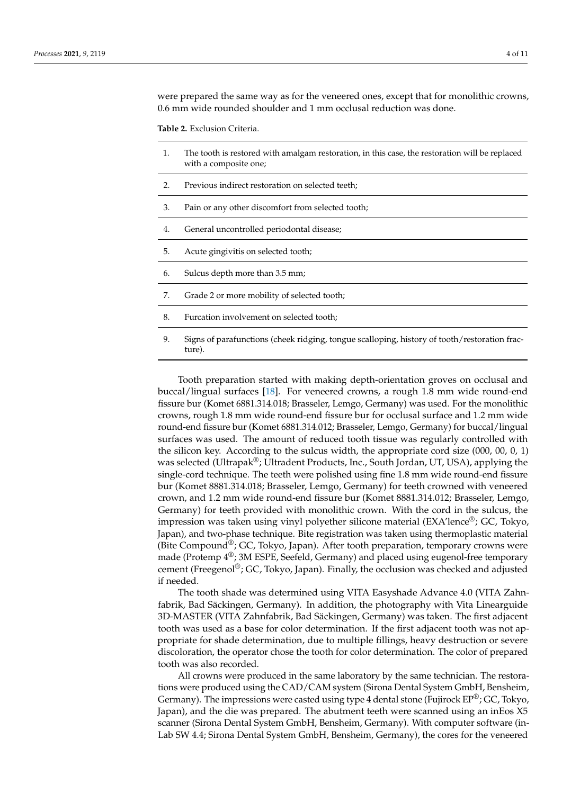were prepared the same way as for the veneered ones, except that for monolithic crowns, 0.6 mm wide rounded shoulder and 1 mm occlusal reduction was done.

<span id="page-3-0"></span>**Table 2.** Exclusion Criteria.

- 1. The tooth is restored with amalgam restoration, in this case, the restoration will be replaced with a composite one;
- 2. Previous indirect restoration on selected teeth;
- 3. Pain or any other discomfort from selected tooth;
- 4. General uncontrolled periodontal disease;
- 5. Acute gingivitis on selected tooth;
- 6. Sulcus depth more than 3.5 mm;
- 7. Grade 2 or more mobility of selected tooth;
- 8. Furcation involvement on selected tooth;
- 9. Signs of parafunctions (cheek ridging, tongue scalloping, history of tooth/restoration fracture).

Tooth preparation started with making depth-orientation groves on occlusal and buccal/lingual surfaces [\[18\]](#page-10-7). For veneered crowns, a rough 1.8 mm wide round-end fissure bur (Komet 6881.314.018; Brasseler, Lemgo, Germany) was used. For the monolithic crowns, rough 1.8 mm wide round-end fissure bur for occlusal surface and 1.2 mm wide round-end fissure bur (Komet 6881.314.012; Brasseler, Lemgo, Germany) for buccal/lingual surfaces was used. The amount of reduced tooth tissue was regularly controlled with the silicon key. According to the sulcus width, the appropriate cord size (000, 00, 0, 1) was selected (Ultrapak®; Ultradent Products, Inc., South Jordan, UT, USA), applying the single-cord technique. The teeth were polished using fine 1.8 mm wide round-end fissure bur (Komet 8881.314.018; Brasseler, Lemgo, Germany) for teeth crowned with veneered crown, and 1.2 mm wide round-end fissure bur (Komet 8881.314.012; Brasseler, Lemgo, Germany) for teeth provided with monolithic crown. With the cord in the sulcus, the impression was taken using vinyl polyether silicone material (EXA'lence®; GC, Tokyo, Japan), and two-phase technique. Bite registration was taken using thermoplastic material (Bite Compound®; GC, Tokyo, Japan). After tooth preparation, temporary crowns were made (Protemp  $4^\circledR$ ; 3M ESPE, Seefeld, Germany) and placed using eugenol-free temporary cement (Freegenol®; GC, Tokyo, Japan). Finally, the occlusion was checked and adjusted if needed.

The tooth shade was determined using VITA Easyshade Advance 4.0 (VITA Zahnfabrik, Bad Säckingen, Germany). In addition, the photography with Vita Linearguide 3D-MASTER (VITA Zahnfabrik, Bad Säckingen, Germany) was taken. The first adjacent tooth was used as a base for color determination. If the first adjacent tooth was not appropriate for shade determination, due to multiple fillings, heavy destruction or severe discoloration, the operator chose the tooth for color determination. The color of prepared tooth was also recorded.

All crowns were produced in the same laboratory by the same technician. The restorations were produced using the CAD/CAM system (Sirona Dental System GmbH, Bensheim, Germany). The impressions were casted using type 4 dental stone (Fujirock EP®; GC, Tokyo, Japan), and the die was prepared. The abutment teeth were scanned using an inEos X5 scanner (Sirona Dental System GmbH, Bensheim, Germany). With computer software (in-Lab SW 4.4; Sirona Dental System GmbH, Bensheim, Germany), the cores for the veneered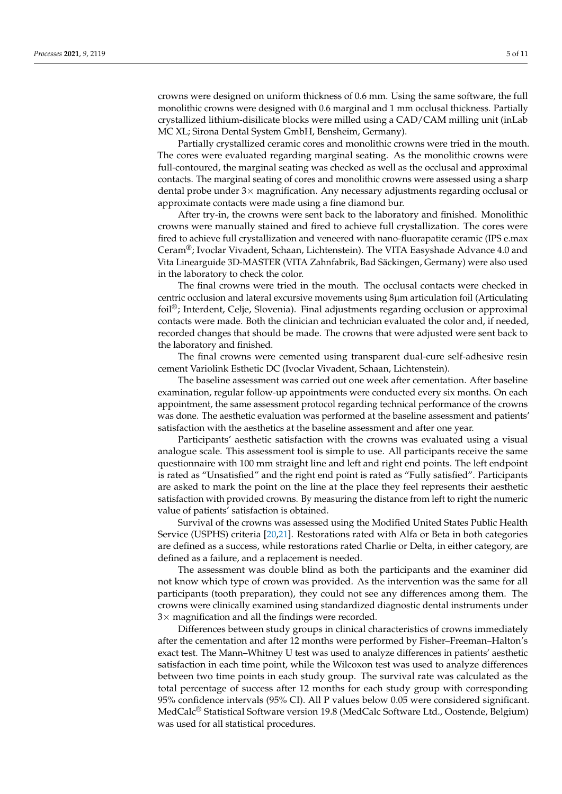crowns were designed on uniform thickness of 0.6 mm. Using the same software, the full monolithic crowns were designed with 0.6 marginal and 1 mm occlusal thickness. Partially crystallized lithium-disilicate blocks were milled using a CAD/CAM milling unit (inLab MC XL; Sirona Dental System GmbH, Bensheim, Germany).

Partially crystallized ceramic cores and monolithic crowns were tried in the mouth. The cores were evaluated regarding marginal seating. As the monolithic crowns were full-contoured, the marginal seating was checked as well as the occlusal and approximal contacts. The marginal seating of cores and monolithic crowns were assessed using a sharp dental probe under  $3\times$  magnification. Any necessary adjustments regarding occlusal or approximate contacts were made using a fine diamond bur.

After try-in, the crowns were sent back to the laboratory and finished. Monolithic crowns were manually stained and fired to achieve full crystallization. The cores were fired to achieve full crystallization and veneered with nano-fluorapatite ceramic (IPS e.max Ceram®; Ivoclar Vivadent, Schaan, Lichtenstein). The VITA Easyshade Advance 4.0 and Vita Linearguide 3D-MASTER (VITA Zahnfabrik, Bad Säckingen, Germany) were also used in the laboratory to check the color.

The final crowns were tried in the mouth. The occlusal contacts were checked in centric occlusion and lateral excursive movements using 8µm articulation foil (Articulating foil®; Interdent, Celje, Slovenia). Final adjustments regarding occlusion or approximal contacts were made. Both the clinician and technician evaluated the color and, if needed, recorded changes that should be made. The crowns that were adjusted were sent back to the laboratory and finished.

The final crowns were cemented using transparent dual-cure self-adhesive resin cement Variolink Esthetic DC (Ivoclar Vivadent, Schaan, Lichtenstein).

The baseline assessment was carried out one week after cementation. After baseline examination, regular follow-up appointments were conducted every six months. On each appointment, the same assessment protocol regarding technical performance of the crowns was done. The aesthetic evaluation was performed at the baseline assessment and patients' satisfaction with the aesthetics at the baseline assessment and after one year.

Participants' aesthetic satisfaction with the crowns was evaluated using a visual analogue scale. This assessment tool is simple to use. All participants receive the same questionnaire with 100 mm straight line and left and right end points. The left endpoint is rated as "Unsatisfied" and the right end point is rated as "Fully satisfied". Participants are asked to mark the point on the line at the place they feel represents their aesthetic satisfaction with provided crowns. By measuring the distance from left to right the numeric value of patients' satisfaction is obtained.

Survival of the crowns was assessed using the Modified United States Public Health Service (USPHS) criteria [\[20,](#page-10-9)[21\]](#page-10-10). Restorations rated with Alfa or Beta in both categories are defined as a success, while restorations rated Charlie or Delta, in either category, are defined as a failure, and a replacement is needed.

The assessment was double blind as both the participants and the examiner did not know which type of crown was provided. As the intervention was the same for all participants (tooth preparation), they could not see any differences among them. The crowns were clinically examined using standardized diagnostic dental instruments under 3× magnification and all the findings were recorded.

Differences between study groups in clinical characteristics of crowns immediately after the cementation and after 12 months were performed by Fisher–Freeman–Halton's exact test. The Mann–Whitney U test was used to analyze differences in patients' aesthetic satisfaction in each time point, while the Wilcoxon test was used to analyze differences between two time points in each study group. The survival rate was calculated as the total percentage of success after 12 months for each study group with corresponding 95% confidence intervals (95% CI). All P values below 0.05 were considered significant. MedCalc® Statistical Software version 19.8 (MedCalc Software Ltd., Oostende, Belgium) was used for all statistical procedures.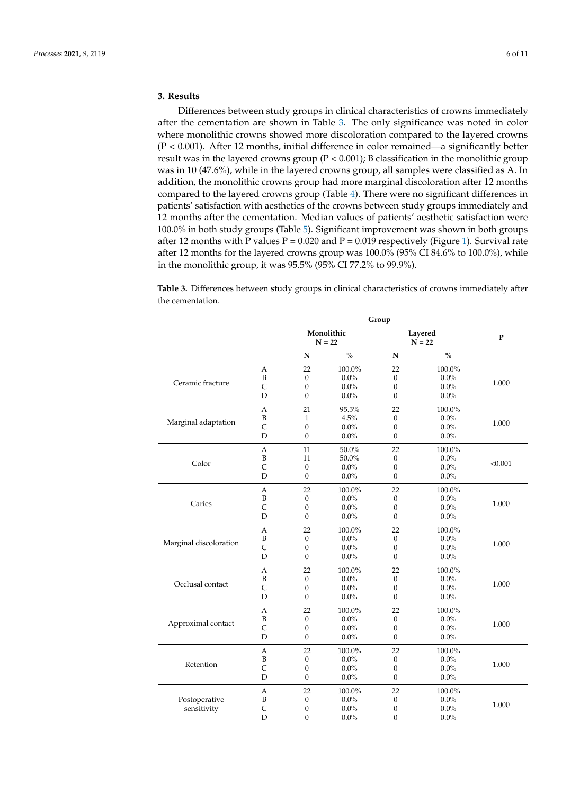## **3. Results**

Differences between study groups in clinical characteristics of crowns immediately after the cementation are shown in Table [3.](#page-5-0) The only significance was noted in color where monolithic crowns showed more discoloration compared to the layered crowns (P < 0.001). After 12 months, initial difference in color remained—a significantly better result was in the layered crowns group ( $P < 0.001$ ); B classification in the monolithic group was in 10 (47.6%), while in the layered crowns group, all samples were classified as A. In addition, the monolithic crowns group had more marginal discoloration after 12 months compared to the layered crowns group (Table [4\)](#page-6-0). There were no significant differences in patients' satisfaction with aesthetics of the crowns between study groups immediately and 12 months after the cementation. Median values of patients' aesthetic satisfaction were 100.0% in both study groups (Table [5\)](#page-7-0). Significant improvement was shown in both groups after 12 months with P values  $P = 0.020$  and  $P = 0.019$  respectively (Figure [1\)](#page-7-1). Survival rate after 12 months for the layered crowns group was 100.0% (95% CI 84.6% to 100.0%), while in the monolithic group, it was 95.5% (95% CI 77.2% to 99.9%).

<span id="page-5-0"></span>**Table 3.** Differences between study groups in clinical characteristics of crowns immediately after the cementation.

|                        |                          | Monolithic<br>$N = 22$               |                    | Layered<br>$N = 22$    | $\mathbf P$        |         |
|------------------------|--------------------------|--------------------------------------|--------------------|------------------------|--------------------|---------|
|                        |                          | N                                    | $\frac{0}{0}$      | N                      | $\frac{0}{0}$      |         |
| Ceramic fracture       | A<br>B                   | 22<br>$\theta$                       | 100.0%<br>$0.0\%$  | 22<br>$\boldsymbol{0}$ | 100.0%<br>$0.0\%$  | 1.000   |
|                        | $\mathsf{C}$<br>D        | $\boldsymbol{0}$<br>$\boldsymbol{0}$ | $0.0\%$<br>$0.0\%$ | $\boldsymbol{0}$<br>0  | $0.0\%$<br>$0.0\%$ |         |
|                        | A                        | 21                                   | 95.5%              | 22                     | 100.0%             |         |
| Marginal adaptation    | B                        | $\mathbf{1}$                         | 4.5%               | $\mathbf{0}$           | $0.0\%$            | 1.000   |
|                        | $\mathsf{C}$             | $\boldsymbol{0}$                     | $0.0\%$            | 0                      | $0.0\%$            |         |
|                        | D                        | $\boldsymbol{0}$                     | $0.0\%$            | $\overline{0}$         | $0.0\%$            |         |
|                        | A                        | 11                                   | 50.0%              | 22                     | 100.0%             |         |
| Color                  | B                        | 11                                   | 50.0%              | $\boldsymbol{0}$       | $0.0\%$            | < 0.001 |
|                        | $\mathsf{C}$             | $\boldsymbol{0}$                     | $0.0\%$            | $\boldsymbol{0}$       | $0.0\%$            |         |
|                        | D                        | $\mathbf{0}$                         | $0.0\%$            | 0                      | $0.0\%$            |         |
|                        | A                        | 22                                   | 100.0%             | 22                     | 100.0%             |         |
| Caries                 | B                        | $\boldsymbol{0}$                     | $0.0\%$            | $\boldsymbol{0}$       | $0.0\%$            | 1.000   |
|                        | $\mathsf{C}$             | $\boldsymbol{0}$                     | $0.0\%$            | $\boldsymbol{0}$       | $0.0\%$            |         |
|                        | D                        | $\boldsymbol{0}$                     | $0.0\%$            | 0                      | $0.0\%$            |         |
|                        | A                        | 22                                   | 100.0%             | 22                     | 100.0%             |         |
| Marginal discoloration | B                        | $\boldsymbol{0}$                     | $0.0\%$            | $\boldsymbol{0}$       | $0.0\%$            | 1.000   |
|                        | $\overline{C}$           | $\boldsymbol{0}$                     | $0.0\%$            | $\boldsymbol{0}$       | $0.0\%$            |         |
|                        | D                        | $\boldsymbol{0}$                     | $0.0\%$            | $\boldsymbol{0}$       | $0.0\%$            |         |
|                        | $\overline{A}$           | 22                                   | 100.0%             | 22                     | 100.0%             |         |
| Occlusal contact       | B                        | $\boldsymbol{0}$                     | $0.0\%$            | $\boldsymbol{0}$       | $0.0\%$            | 1.000   |
|                        | $\mathsf{C}$             | $\boldsymbol{0}$                     | $0.0\%$            | $\boldsymbol{0}$       | $0.0\%$            |         |
|                        | D                        | $\boldsymbol{0}$                     | $0.0\%$            | 0                      | $0.0\%$            |         |
|                        | A                        | 22                                   | 100.0%             | 22                     | 100.0%             |         |
| Approximal contact     | B                        | $\mathbf{0}$                         | $0.0\%$            | $\mathbf{0}$           | $0.0\%$            | 1.000   |
|                        | $\overline{C}$           | $\boldsymbol{0}$                     | $0.0\%$            | 0                      | $0.0\%$            |         |
|                        | D                        | $\overline{0}$                       | $0.0\%$            | $\boldsymbol{0}$       | $0.0\%$            |         |
|                        | A                        | 22                                   | 100.0%             | 22                     | 100.0%             |         |
|                        | B                        | $\boldsymbol{0}$                     | $0.0\%$            | $\boldsymbol{0}$       | $0.0\%$            |         |
| Retention              | $\mathsf{C}$             | $\boldsymbol{0}$                     | $0.0\%$            | 0                      | $0.0\%$            | 1.000   |
|                        | D                        | $\boldsymbol{0}$                     | $0.0\%$            | $\mathbf{0}$           | $0.0\%$            |         |
|                        | A                        | 22                                   | 100.0%             | 22                     | 100.0%             |         |
| Postoperative          | $0.0\%$<br>B<br>$\theta$ |                                      | $\theta$           | $0.0\%$                |                    |         |
| sensitivity            | $\mathsf{C}$             | 0                                    | 0.0%               | $\boldsymbol{0}$       | $0.0\%$            | 1.000   |
|                        | D                        | $\boldsymbol{0}$                     | 0.0%               | $\boldsymbol{0}$       | $0.0\%$            |         |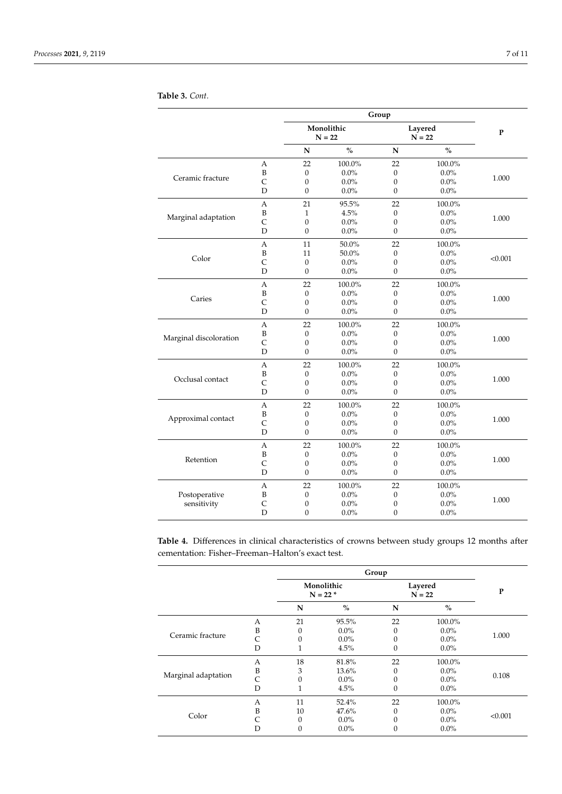|                        |                | Monolithic<br>$N = 22$ |               | Layered<br>$N = 22$ |               | $\mathbf{P}$ |
|------------------------|----------------|------------------------|---------------|---------------------|---------------|--------------|
|                        |                | N                      | $\frac{0}{0}$ | N                   | $\frac{0}{0}$ |              |
|                        | $\overline{A}$ | 22                     | 100.0%        | 22                  | 100.0%        |              |
|                        | $\mathbf{B}$   | $\overline{0}$         | 0.0%          | $\mathbf{0}$        | $0.0\%$       |              |
| Ceramic fracture       | $\overline{C}$ | $\boldsymbol{0}$       | $0.0\%$       | $\boldsymbol{0}$    | $0.0\%$       | 1.000        |
|                        | D              | $\overline{0}$         | 0.0%          | $\overline{0}$      | $0.0\%$       |              |
|                        | A              | 21                     | 95.5%         | 22                  | 100.0%        |              |
|                        | B              | $\mathbf{1}$           | 4.5%          | $\mathbf{0}$        | $0.0\%$       |              |
| Marginal adaptation    | $\mathsf{C}$   | $\boldsymbol{0}$       | 0.0%          | $\mathbf{0}$        | $0.0\%$       | 1.000        |
|                        | D              | 0                      | 0.0%          | $\mathbf{0}$        | $0.0\%$       |              |
|                        | A              | 11                     | 50.0%         | 22                  | 100.0%        |              |
|                        | B              | 11                     | 50.0%         | $\mathbf{0}$        | $0.0\%$       |              |
| Color                  | $\mathsf{C}$   | $\boldsymbol{0}$       | $0.0\%$       | $\theta$            | $0.0\%$       | < 0.001      |
|                        | D              | $\boldsymbol{0}$       | $0.0\%$       | $\mathbf{0}$        | $0.0\%$       |              |
|                        | А              | 22                     | 100.0%        | 22                  | 100.0%        |              |
|                        | B              | $\boldsymbol{0}$       | $0.0\%$       | $\mathbf{0}$        | $0.0\%$       |              |
| Caries                 | $\mathsf{C}$   | $\boldsymbol{0}$       | 0.0%          | $\boldsymbol{0}$    | $0.0\%$       | 1.000        |
|                        | D              | $\boldsymbol{0}$       | 0.0%          | $\mathbf{0}$        | $0.0\%$       |              |
|                        | $\overline{A}$ | 22                     | 100.0%        | 22                  | 100.0%        |              |
|                        | B              | $\boldsymbol{0}$       | 0.0%          | $\boldsymbol{0}$    | $0.0\%$       |              |
| Marginal discoloration | $\mathsf{C}$   | $\boldsymbol{0}$       | $0.0\%$       | $\boldsymbol{0}$    | $0.0\%$       | 1.000        |
|                        | D              | $\overline{0}$         | 0.0%          | $\overline{0}$      | $0.0\%$       |              |
|                        | A              | 22                     | 100.0%        | 22                  | 100.0%        |              |
|                        | B              | $\boldsymbol{0}$       | 0.0%          | $\mathbf{0}$        | $0.0\%$       |              |
| Occlusal contact       | $\mathsf{C}$   | $\boldsymbol{0}$       | 0.0%          | $\mathbf{0}$        | $0.0\%$       | 1.000        |
|                        | D              | $\boldsymbol{0}$       | 0.0%          | $\mathbf{0}$        | $0.0\%$       |              |
|                        | $\overline{A}$ | 22                     | 100.0%        | 22                  | 100.0%        |              |
|                        | B              | 0                      | 0.0%          | $\boldsymbol{0}$    | $0.0\%$       |              |
| Approximal contact     | $\mathsf{C}$   | 0                      | $0.0\%$       | $\boldsymbol{0}$    | $0.0\%$       | 1.000        |
|                        | D              | $\overline{0}$         | $0.0\%$       | $\mathbf{0}$        | $0.0\%$       |              |
|                        | A              | 22                     | 100.0%        | 22                  | 100.0%        |              |
|                        | B              | $\boldsymbol{0}$       | 0.0%          | $\boldsymbol{0}$    | $0.0\%$       |              |
| Retention              | $\mathsf{C}$   | $\boldsymbol{0}$       | 0.0%          | $\boldsymbol{0}$    | $0.0\%$       | 1.000        |
|                        | D              | $\boldsymbol{0}$       | $0.0\%$       | $\mathbf{0}$        | $0.0\%$       |              |
|                        | A              | 22                     | 100.0%        | 22                  | 100.0%        |              |
| Postoperative          | B              | 0                      | 0.0%          | $\boldsymbol{0}$    | $0.0\%$       |              |
| sensitivity            | C              | 0                      | 0.0%          | $\boldsymbol{0}$    | $0.0\%$       | 1.000        |
|                        | D              | $\boldsymbol{0}$       | 0.0%          | $\mathbf{0}$        | $0.0\%$       |              |

**Table 3.** *Cont.*

<span id="page-6-0"></span>**Table 4.** Differences in clinical characteristics of crowns between study groups 12 months after cementation: Fisher–Freeman–Halton's exact test.

|                     |   | Monolithic<br>$N = 22$ * |                       | Layered<br>$N = 22$ | P       |       |
|---------------------|---|--------------------------|-----------------------|---------------------|---------|-------|
|                     |   | N                        | $\%$                  | N                   | $\%$    |       |
|                     | A | 21                       | 95.5%                 | 22                  | 100.0%  |       |
|                     | B | $\theta$                 | $0.0\%$               | $\mathbf{0}$        | $0.0\%$ |       |
| Ceramic fracture    | C | $\theta$                 | $0.0\%$               | $\mathbf{0}$        | $0.0\%$ | 1.000 |
|                     | D | 1                        | 4.5%                  | $\theta$            | $0.0\%$ |       |
|                     | A | 18                       | 81.8%                 | 22                  | 100.0%  |       |
|                     | B | 3                        | 13.6%                 | $\mathbf{0}$        | $0.0\%$ |       |
| Marginal adaptation | C | $\theta$                 | $0.0\%$               | 0                   | $0.0\%$ | 0.108 |
|                     | D | 1                        | 4.5%                  | $\theta$            | $0.0\%$ |       |
|                     | A | 11                       | 22<br>52.4%<br>100.0% |                     |         |       |
|                     | B | 10                       | 47.6%                 | $\theta$            | $0.0\%$ |       |
| Color               | C | $\theta$                 | $0.0\%$               | $0.0\%$<br>0        | < 0.001 |       |
|                     | D | $\theta$                 | $0.0\%$               | $\mathbf{0}$        | $0.0\%$ |       |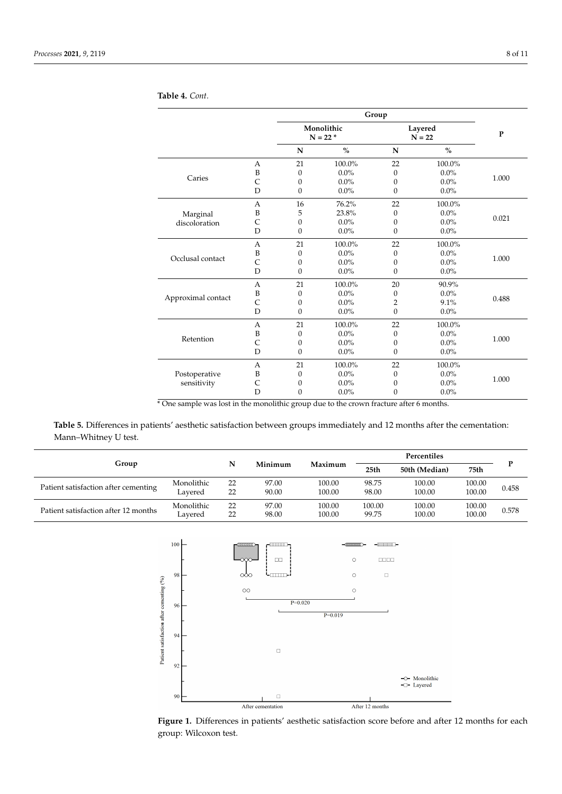|                              |                  | Monolithic<br>$N = 22$ * |               | Layered<br>$N = 22$ |               | ${\bf P}$ |  |
|------------------------------|------------------|--------------------------|---------------|---------------------|---------------|-----------|--|
|                              |                  | ${\bf N}$                | $\frac{0}{0}$ | $\mathbf N$         | $\frac{0}{0}$ |           |  |
|                              | A                | 21                       | 100.0%        | 22                  | 100.0%        |           |  |
|                              | $\, {\bf B}$     | $\mathbf{0}$             | $0.0\%$       | $\boldsymbol{0}$    | $0.0\%$       |           |  |
| Caries                       | $\mathsf C$      | $\boldsymbol{0}$         | $0.0\%$       | $\mathbf{0}$        | 0.0%          | 1.000     |  |
|                              | $\mathbf D$      | $\boldsymbol{0}$         | $0.0\%$       | $\boldsymbol{0}$    | $0.0\%$       |           |  |
|                              | A                | 16                       | 76.2%         | 22                  | 100.0%        |           |  |
| Marginal                     | B                | 5                        | 23.8%         | $\boldsymbol{0}$    | 0.0%          |           |  |
| discoloration                | $\mathsf C$      | $\boldsymbol{0}$         | $0.0\%$       | $\boldsymbol{0}$    | $0.0\%$       | 0.021     |  |
|                              | D                | $\mathbf{0}$             | $0.0\%$       | $\mathbf{0}$        | 0.0%          |           |  |
|                              | A                | 21                       | 100.0%        | 22                  | 100.0%        | 1.000     |  |
|                              | $\, {\bf B}$     | $\boldsymbol{0}$         | $0.0\%$       | $\boldsymbol{0}$    | 0.0%          |           |  |
| Occlusal contact             | $\mathsf{C}$     | $\mathbf{0}$             | $0.0\%$       | $\mathbf{0}$        | $0.0\%$       |           |  |
|                              | D                | $\boldsymbol{0}$         | $0.0\%$       | $\boldsymbol{0}$    | 0.0%          |           |  |
|                              | $\boldsymbol{A}$ | 21                       | 100.0%        | $20\,$              | 90.9%         |           |  |
|                              | $\, {\bf B}$     | $\mathbf{0}$             | $0.0\%$       | $\boldsymbol{0}$    | 0.0%          |           |  |
| Approximal contact           | $\overline{C}$   | $\mathbf{0}$             | $0.0\%$       | $\overline{2}$      | 9.1%          | 0.488     |  |
|                              | D                | $\mathbf{0}$             | $0.0\%$       | $\boldsymbol{0}$    | $0.0\%$       |           |  |
|                              | A                | 21                       | 100.0%        | 22                  | 100.0%        |           |  |
| Retention                    | $\, {\bf B}$     | $\boldsymbol{0}$         | $0.0\%$       | $\boldsymbol{0}$    | 0.0%          |           |  |
|                              | $\mathsf{C}$     | $\mathbf{0}$             | $0.0\%$       | $\mathbf{0}$        | $0.0\%$       | 1.000     |  |
|                              | $\mathbf D$      | $\mathbf{0}$             | $0.0\%$       | $\mathbf{0}$        | $0.0\%$       |           |  |
|                              | A                | 21                       | 100.0%        | 22                  | 100.0%        |           |  |
| Postoperative<br>sensitivity | B                | $\boldsymbol{0}$         | $0.0\%$       | $\boldsymbol{0}$    | $0.0\%$       | 1.000     |  |
|                              | $\mathsf C$      | $\boldsymbol{0}$         | $0.0\%$       | $\boldsymbol{0}$    | 0.0%          |           |  |
|                              | D                | $\mathbf{0}$             | $0.0\%$       | $\mathbf{0}$        | $0.0\%$       |           |  |

**Table 4.** *Cont.*

\* One sample was lost in the monolithic group due to the crown fracture after 6 months. sample was lost in the monolithic group due to the crown fracture after 6 months.

<span id="page-7-0"></span>**Table 5.** Differences in patients' aesthetic satisfaction between groups immediately and 12 months after the cementation: Mann–Whitney U test.  $\frac{1}{2}$  aesthetic satisfaction between groups immediately and 12 months after  $\frac{1}{2}$ 

|                                      |                       |          |                |                  | <b>Percentiles</b>                 |                  |                  |       |
|--------------------------------------|-----------------------|----------|----------------|------------------|------------------------------------|------------------|------------------|-------|
| Group                                |                       | N        | Minimum        | Maximum          | 25 <sub>th</sub>                   | 50th (Median)    | 75th             |       |
| Patient satisfaction after cementing | Monolithic<br>Lavered | 22<br>22 | 97.00<br>90.00 | 100.00<br>100.00 | 98.75<br>100.00<br>98.00<br>100.00 |                  | 100.00<br>100.00 | 0.458 |
| Patient satisfaction after 12 months | Monolithic<br>Lavered | 22<br>22 | 97.00<br>98.00 | 100.00<br>100.00 | 100.00<br>99.75                    | 100.00<br>100.00 | 100.00<br>100.00 | 0.578 |

<span id="page-7-1"></span>

**Figure 1.** Differences in patients' aesthetic satisfaction score before and after 12 months for each **Figure 1.** Differences in patients' aesthetic satisfaction score before and after 12 months for each group: Wilcoxon test. group: Wilcoxon test.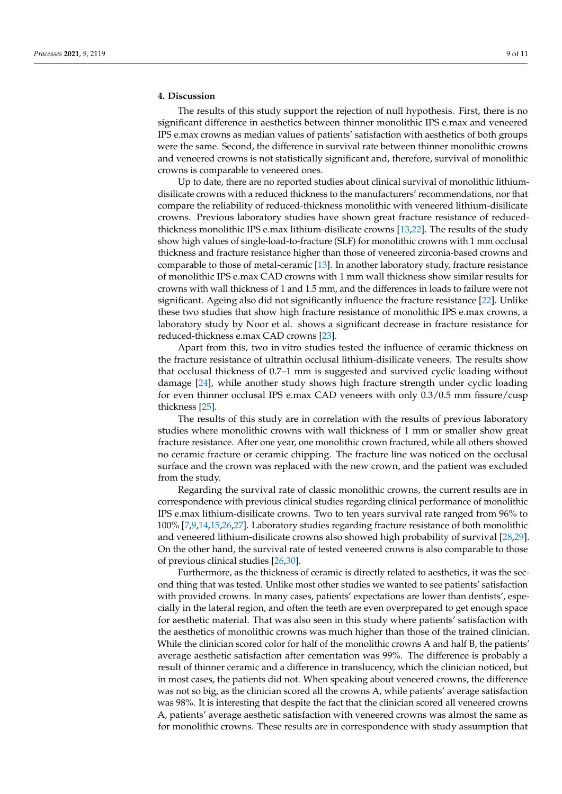## **4. Discussion**

The results of this study support the rejection of null hypothesis. First, there is no significant difference in aesthetics between thinner monolithic IPS e.max and veneered IPS e.max crowns as median values of patients' satisfaction with aesthetics of both groups were the same. Second, the difference in survival rate between thinner monolithic crowns and veneered crowns is not statistically significant and, therefore, survival of monolithic crowns is comparable to veneered ones.

Up to date, there are no reported studies about clinical survival of monolithic lithiumdisilicate crowns with a reduced thickness to the manufacturers' recommendations, nor that compare the reliability of reduced-thickness monolithic with veneered lithium-disilicate crowns. Previous laboratory studies have shown great fracture resistance of reducedthickness monolithic IPS e.max lithium-disilicate crowns [\[13](#page-10-3)[,22\]](#page-10-11). The results of the study show high values of single-load-to-fracture (SLF) for monolithic crowns with 1 mm occlusal thickness and fracture resistance higher than those of veneered zirconia-based crowns and comparable to those of metal-ceramic [\[13\]](#page-10-3). In another laboratory study, fracture resistance of monolithic IPS e.max CAD crowns with 1 mm wall thickness show similar results for crowns with wall thickness of 1 and 1.5 mm, and the differences in loads to failure were not significant. Ageing also did not significantly influence the fracture resistance [\[22\]](#page-10-11). Unlike these two studies that show high fracture resistance of monolithic IPS e.max crowns, a laboratory study by Noor et al. shows a significant decrease in fracture resistance for reduced-thickness e.max CAD crowns [\[23\]](#page-10-12).

Apart from this, two in vitro studies tested the influence of ceramic thickness on the fracture resistance of ultrathin occlusal lithium-disilicate veneers. The results show that occlusal thickness of 0.7–1 mm is suggested and survived cyclic loading without damage [\[24\]](#page-10-13), while another study shows high fracture strength under cyclic loading for even thinner occlusal IPS e.max CAD veneers with only 0.3/0.5 mm fissure/cusp thickness [\[25\]](#page-10-14).

The results of this study are in correlation with the results of previous laboratory studies where monolithic crowns with wall thickness of 1 mm or smaller show great fracture resistance. After one year, one monolithic crown fractured, while all others showed no ceramic fracture or ceramic chipping. The fracture line was noticed on the occlusal surface and the crown was replaced with the new crown, and the patient was excluded from the study.

Regarding the survival rate of classic monolithic crowns, the current results are in correspondence with previous clinical studies regarding clinical performance of monolithic IPS e.max lithium-disilicate crowns. Two to ten years survival rate ranged from 96% to 100% [\[7,](#page-9-5)[9,](#page-9-7)[14,](#page-10-4)[15](#page-10-5)[,26](#page-10-15)[,27\]](#page-10-16). Laboratory studies regarding fracture resistance of both monolithic and veneered lithium-disilicate crowns also showed high probability of survival [\[28,](#page-10-17)[29\]](#page-10-18). On the other hand, the survival rate of tested veneered crowns is also comparable to those of previous clinical studies [\[26,](#page-10-15)[30\]](#page-10-19).

Furthermore, as the thickness of ceramic is directly related to aesthetics, it was the second thing that was tested. Unlike most other studies we wanted to see patients' satisfaction with provided crowns. In many cases, patients' expectations are lower than dentists', especially in the lateral region, and often the teeth are even overprepared to get enough space for aesthetic material. That was also seen in this study where patients' satisfaction with the aesthetics of monolithic crowns was much higher than those of the trained clinician. While the clinician scored color for half of the monolithic crowns A and half B, the patients' average aesthetic satisfaction after cementation was 99%. The difference is probably a result of thinner ceramic and a difference in translucency, which the clinician noticed, but in most cases, the patients did not. When speaking about veneered crowns, the difference was not so big, as the clinician scored all the crowns A, while patients' average satisfaction was 98%. It is interesting that despite the fact that the clinician scored all veneered crowns A, patients' average aesthetic satisfaction with veneered crowns was almost the same as for monolithic crowns. These results are in correspondence with study assumption that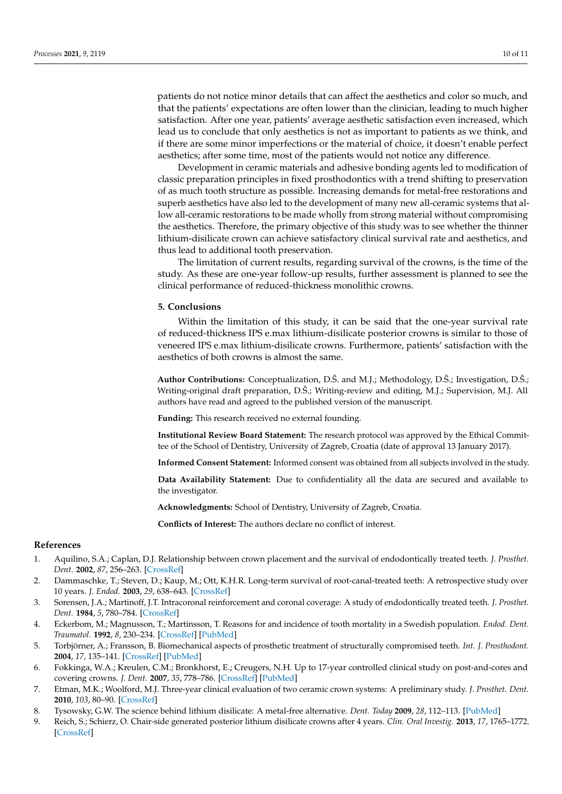patients do not notice minor details that can affect the aesthetics and color so much, and that the patients' expectations are often lower than the clinician, leading to much higher satisfaction. After one year, patients' average aesthetic satisfaction even increased, which lead us to conclude that only aesthetics is not as important to patients as we think, and if there are some minor imperfections or the material of choice, it doesn't enable perfect aesthetics; after some time, most of the patients would not notice any difference.

Development in ceramic materials and adhesive bonding agents led to modification of classic preparation principles in fixed prosthodontics with a trend shifting to preservation of as much tooth structure as possible. Increasing demands for metal-free restorations and superb aesthetics have also led to the development of many new all-ceramic systems that allow all-ceramic restorations to be made wholly from strong material without compromising the aesthetics. Therefore, the primary objective of this study was to see whether the thinner lithium-disilicate crown can achieve satisfactory clinical survival rate and aesthetics, and thus lead to additional tooth preservation.

The limitation of current results, regarding survival of the crowns, is the time of the study. As these are one-year follow-up results, further assessment is planned to see the clinical performance of reduced-thickness monolithic crowns.

#### **5. Conclusions**

Within the limitation of this study, it can be said that the one-year survival rate of reduced-thickness IPS e.max lithium-disilicate posterior crowns is similar to those of veneered IPS e.max lithium-disilicate crowns. Furthermore, patients' satisfaction with the aesthetics of both crowns is almost the same.

**Author Contributions:** Conceptualization, D.Š. and M.J.; Methodology, D.Š.; Investigation, D.Š.; Writing-original draft preparation, D.Š.; Writing-review and editing, M.J.; Supervision, M.J. All authors have read and agreed to the published version of the manuscript.

**Funding:** This research received no external founding.

**Institutional Review Board Statement:** The research protocol was approved by the Ethical Committee of the School of Dentistry, University of Zagreb, Croatia (date of approval 13 January 2017).

**Informed Consent Statement:** Informed consent was obtained from all subjects involved in the study.

**Data Availability Statement:** Due to confidentiality all the data are secured and available to the investigator.

**Acknowledgments:** School of Dentistry, University of Zagreb, Croatia.

**Conflicts of Interest:** The authors declare no conflict of interest.

#### **References**

- <span id="page-9-0"></span>1. Aquilino, S.A.; Caplan, D.J. Relationship between crown placement and the survival of endodontically treated teeth. *J. Prosthet. Dent.* **2002**, *87*, 256–263. [\[CrossRef\]](http://doi.org/10.1067/mpr.2002.122014)
- 2. Dammaschke, T.; Steven, D.; Kaup, M.; Ott, K.H.R. Long-term survival of root-canal-treated teeth: A retrospective study over 10 years. *J. Endod.* **2003**, *29*, 638–643. [\[CrossRef\]](http://doi.org/10.1097/00004770-200310000-00006)
- <span id="page-9-1"></span>3. Sorensen, J.A.; Martinoff, J.T. Intracoronal reinforcement and coronal coverage: A study of endodontically treated teeth. *J. Prosthet. Dent.* **1984**, *5*, 780–784. [\[CrossRef\]](http://doi.org/10.1016/0022-3913(84)90376-7)
- <span id="page-9-2"></span>4. Eckerbom, M.; Magnusson, T.; Martinsson, T. Reasons for and incidence of tooth mortality in a Swedish population. *Endod. Dent. Traumatol.* **1992**, *8*, 230–234. [\[CrossRef\]](http://doi.org/10.1111/j.1600-9657.1992.tb00249.x) [\[PubMed\]](http://www.ncbi.nlm.nih.gov/pubmed/1302686)
- <span id="page-9-3"></span>5. Torbjörner, A.; Fransson, B. Biomechanical aspects of prosthetic treatment of structurally compromised teeth. *Int. J. Prosthodont.* **2004**, *17*, 135–141. [\[CrossRef\]](http://doi.org/10.1016/j.prosdent.2004.06.017) [\[PubMed\]](http://www.ncbi.nlm.nih.gov/pubmed/15119862)
- <span id="page-9-4"></span>6. Fokkinga, W.A.; Kreulen, C.M.; Bronkhorst, E.; Creugers, N.H. Up to 17-year controlled clinical study on post-and-cores and covering crowns. *J. Dent.* **2007**, *35*, 778–786. [\[CrossRef\]](http://doi.org/10.1016/j.jdent.2007.07.006) [\[PubMed\]](http://www.ncbi.nlm.nih.gov/pubmed/17716800)
- <span id="page-9-5"></span>7. Etman, M.K.; Woolford, M.J. Three-year clinical evaluation of two ceramic crown systems: A preliminary study. *J. Prosthet. Dent.* **2010**, *103*, 80–90. [\[CrossRef\]](http://doi.org/10.1016/S0022-3913(10)60010-8)
- <span id="page-9-6"></span>8. Tysowsky, G.W. The science behind lithium disilicate: A metal-free alternative. *Dent. Today* **2009**, *28*, 112–113. [\[PubMed\]](http://www.ncbi.nlm.nih.gov/pubmed/19323326)
- <span id="page-9-7"></span>9. Reich, S.; Schierz, O. Chair-side generated posterior lithium disilicate crowns after 4 years. *Clin. Oral Investig.* **2013**, *17*, 1765–1772. [\[CrossRef\]](http://doi.org/10.1007/s00784-012-0868-0)